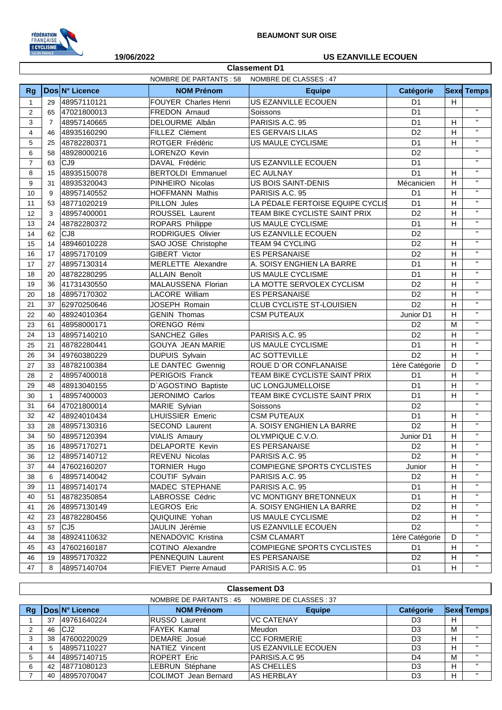

**Classement D1**

## **19/06/2022 US EZANVILLE ECOUEN**

|                | NOMBRE DE CLASSES : 47<br>NOMBRE DE PARTANTS : 58 |                |                          |                                  |                |   |                           |  |
|----------------|---------------------------------------------------|----------------|--------------------------|----------------------------------|----------------|---|---------------------------|--|
| <b>Rg</b>      |                                                   | Dos N° Licence | <b>NOM Prénom</b>        | <b>Equipe</b>                    | Catégorie      |   | <b>Sexe Temps</b>         |  |
| $\mathbf{1}$   | 29                                                | 48957110121    | FOUYER Charles Henri     | US EZANVILLE ECOUEN              | D <sub>1</sub> | H |                           |  |
| 2              | 65                                                | 47021800013    | FREDON Arnaud            | Soissons                         | D <sub>1</sub> |   | $\mathbf{H}$              |  |
| 3              | $\overline{7}$                                    | 48957140665    | DELOURME Albân           | PARISIS A.C. 95                  | D <sub>1</sub> | H | $\mathbf{H}$              |  |
| $\overline{4}$ | 46                                                | 48935160290    | FILLEZ Clément           | <b>ES GERVAIS LILAS</b>          | D <sub>2</sub> | H | $\mathbf{H}$              |  |
| 5              | 25                                                | 48782280371    | ROTGER Frédéric          | US MAULE CYCLISME                | D <sub>1</sub> | H | $\mathbf{H}$              |  |
| 6              | 58                                                | 48928000216    | LORENZO Kevin            |                                  | D <sub>2</sub> |   | $\mathbf{H}$              |  |
| $\overline{7}$ | 63                                                | CJ9            | DAVAL Frédéric           | US EZANVILLE ECOUEN              | D <sub>1</sub> |   | $\mathbf{H}$              |  |
| 8              | 15                                                | 48935150078    | <b>BERTOLDI Emmanuel</b> | <b>EC AULNAY</b>                 | D <sub>1</sub> | H | $\mathbf{H}$              |  |
| 9              | 31                                                | 48935320043    | PINHEIRO Nicolas         | US BOIS SAINT-DENIS              | Mécanicien     | H | $\mathbf{H}$              |  |
| 10             | 9                                                 | 48957140552    | <b>HOFFMANN Mathis</b>   | PARISIS A.C. 95                  | D <sub>1</sub> | H | $\mathbf{H}$              |  |
| 11             | 53                                                | 48771020219    | PILLON Jules             | LA PÉDALE FERTOISE EQUIPE CYCLIS | D <sub>1</sub> | H | $\mathbf{H}$              |  |
| 12             | 3                                                 | 48957400001    | ROUSSEL Laurent          | TEAM BIKE CYCLISTE SAINT PRIX    | D <sub>2</sub> | H | $\mathbf{H}$              |  |
| 13             | 24                                                | 48782280372    | ROPARS Philippe          | US MAULE CYCLISME                | D <sub>1</sub> | H | $\mathbf{H}$              |  |
| 14             | 62                                                | CJ8            | RODRIGUES Olivier        | US EZANVILLE ECOUEN              | D <sub>2</sub> |   | $\mathbf{H}$              |  |
| 15             | 14                                                | 48946010228    | SAO JOSE Christophe      | TEAM 94 CYCLING                  | D <sub>2</sub> | H | $\mathbf{H}$              |  |
| 16             | 17                                                | 48957170109    | GIBERT Victor            | <b>ES PERSANAISE</b>             | D <sub>2</sub> | H | $\mathbf{H}$              |  |
| 17             | 27                                                | 48957130314    | MERLETTE Alexandre       | A. SOISY ENGHIEN LA BARRE        | D <sub>1</sub> | H | $\mathbf{H}$              |  |
| 18             | 20                                                | 48782280295    | <b>ALLAIN Benoît</b>     | US MAULE CYCLISME                | D <sub>1</sub> | H | $\mathbf{H}$              |  |
| 19             | 36                                                | 41731430550    | MALAUSSENA Florian       | LA MOTTE SERVOLEX CYCLISM        | D <sub>2</sub> | H | $\mathbf{H}$              |  |
| 20             | 18                                                | 48957170302    | LACORE William           | <b>ES PERSANAISE</b>             | D <sub>2</sub> | H | $\mathbf{H}$              |  |
| 21             | 37                                                | 62970250646    | JOSEPH Romain            | CLUB CYCLISTE ST-LOUISIEN        | D <sub>2</sub> | H | $\mathbf{H}$              |  |
| 22             | 40                                                | 48924010364    | <b>GENIN Thomas</b>      | <b>CSM PUTEAUX</b>               | Junior D1      | H | $\mathbf{H}$              |  |
| 23             | 61                                                | 48958000171    | ORENGO Rémi              |                                  | D <sub>2</sub> | M | $\mathbf{H}$              |  |
| 24             | 13                                                | 48957140210    | <b>SANCHEZ Gilles</b>    | PARISIS A.C. 95                  | D <sub>2</sub> | H | $\mathbf{H}$              |  |
| 25             | 21                                                | 48782280441    | <b>GOUYA JEAN MARIE</b>  | US MAULE CYCLISME                | D <sub>1</sub> | H | $\mathbf{H}$              |  |
| 26             | 34                                                | 49760380229    | <b>DUPUIS Sylvain</b>    | AC SOTTEVILLE                    | D2             | H | $\mathbf{H}$              |  |
| 27             | 33                                                | 48782100384    | LE DANTEC Gwennig        | ROUE D'OR CONFLANAISE            | 1ère Catégorie | D | $\mathbf{H}$              |  |
| 28             | $\overline{2}$                                    | 48957400018    | PERIGOIS Franck          | TEAM BIKE CYCLISTE SAINT PRIX    | D <sub>1</sub> | H | $\mathbf{H}$              |  |
| 29             | 48                                                | 48913040155    | D'AGOSTINO Baptiste      | UC LONGJUMELLOISE                | D <sub>1</sub> | H | $\mathbf{H}$              |  |
| 30             | $\mathbf{1}$                                      | 48957400003    | JERONIMO Carlos          | TEAM BIKE CYCLISTE SAINT PRIX    | D <sub>1</sub> | H | $\mathbf{H}$              |  |
| 31             | 64                                                | 47021800014    | MARIE Sylvian            | Soissons                         | D <sub>2</sub> |   | $\mathbf{H}$              |  |
| 32             | 42                                                | 48924010434    | <b>LHUISSIER Emeric</b>  | <b>CSM PUTEAUX</b>               | D <sub>1</sub> | H | $\boldsymbol{\mathsf{H}}$ |  |
| 33             | 28                                                | 48957130316    | SECOND Laurent           | A. SOISY ENGHIEN LA BARRE        | D <sub>2</sub> | H | $\mathbf{H}$              |  |
| 34             | 50                                                | 48957120394    | <b>VIALIS Amaury</b>     | OLYMPIQUE C.V.O.                 | Junior D1      | H | $\mathbf{H}$              |  |
| 35             | 16                                                | 48957170271    | DELAPORTE Kevin          | <b>ES PERSANAISE</b>             | D <sub>2</sub> | H | $\mathbf{H}$              |  |
| 36             | 12                                                | 48957140712    | REVENU Nicolas           | PARISIS A.C. 95                  | D <sub>2</sub> | H | $\pmb{\mathsf{H}}$        |  |
| 37             | 44                                                | 47602160207    | TORNIER Hugo             | COMPIEGNE SPORTS CYCLISTES       | Junior         | H | $\pmb{\mathsf{H}}$        |  |
| 38             | 6                                                 | 48957140042    | COUTIF Sylvain           | PARISIS A.C. 95                  | D <sub>2</sub> | H | $\pmb{\mathsf{H}}$        |  |
| 39             | 11                                                | 48957140174    | MADEC STEPHANE           | PARISIS A.C. 95                  | D <sub>1</sub> | H | $\pmb{\mathsf{H}}$        |  |
| 40             | 51                                                | 48782350854    | LABROSSE Cédric          | VC MONTIGNY BRETONNEUX           | D <sub>1</sub> | H | $\pmb{\mathsf{H}}$        |  |
| 41             | 26                                                | 48957130149    | <b>LEGROS Eric</b>       | A. SOISY ENGHIEN LA BARRE        | D <sub>2</sub> | H | $\pmb{\mathsf{H}}$        |  |
| 42             | 23                                                | 48782280456    | QUIQUINE Yohan           | US MAULE CYCLISME                | D <sub>2</sub> | H | $\pmb{\mathsf{H}}$        |  |
| 43             | 57                                                | CJ5            | JAULIN Jérémie           | US EZANVILLE ECOUEN              | D <sub>2</sub> |   | $\mathbf{H}$              |  |
| 44             | 38                                                | 48924110632    | NENADOVIC Kristina       | <b>CSM CLAMART</b>               | 1ère Catégorie | D | $\pmb{\mathsf{H}}$        |  |
| 45             | 43                                                | 47602160187    | COTINO Alexandre         | COMPIEGNE SPORTS CYCLISTES       | D <sub>1</sub> | H | $\pmb{\mathsf{H}}$        |  |
| 46             | 19                                                | 48957170322    | PENNEQUIN Laurent        | <b>ES PERSANAISE</b>             | D <sub>2</sub> | H | $\mathbf{H}$              |  |
| 47             | 8                                                 | 48957140704    | FIEVET Pierre Arnaud     | PARISIS A.C. 95                  | D <sub>1</sub> | Н | п.                        |  |

|    | <b>Classement D3</b>                             |                       |                             |                     |                  |   |                   |  |
|----|--------------------------------------------------|-----------------------|-----------------------------|---------------------|------------------|---|-------------------|--|
|    | NOMBRE DE CLASSES: 37<br>NOMBRE DE PARTANTS : 45 |                       |                             |                     |                  |   |                   |  |
| Rg |                                                  | <b>DosIN° Licence</b> | <b>NOM Prénom</b>           | <b>Equipe</b>       | <b>Catégorie</b> |   | <b>Sexe Temps</b> |  |
|    | 37                                               | 49761640224           | <b>RUSSO Laurent</b>        | <b>VC CATENAY</b>   | D <sub>3</sub>   | н |                   |  |
| 2  | 46                                               | ICJ2                  | <b>FAYEK Kamal</b>          | Meudon              | D <sub>3</sub>   | М | $\mathbf{H}$      |  |
| 3  | 38                                               | 47600220029           | DEMARE Josué                | ICC FORMERIE        | D <sub>3</sub>   | н | $\mathbf{u}$      |  |
| 4  | 5                                                | 48957110227           | NATIEZ Vincent              | US EZANVILLE ECOUEN | D <sub>3</sub>   | H | $\mathbf{u}$      |  |
| 5  | 44                                               | 48957140715           | <b>ROPERT Eric</b>          | PARISIS.A.C 95      | D4               | м | $\mathbf{u}$      |  |
| 6  | 42                                               | 48771080123           | <b>LEBRUN Stéphane</b>      | AS CHELLES          | D <sub>3</sub>   | н |                   |  |
|    | 40                                               | 48957070047           | <b>COLIMOT</b> Jean Bernard | <b>AS HERBLAY</b>   | D3               | н | $\mathbf{u}$      |  |